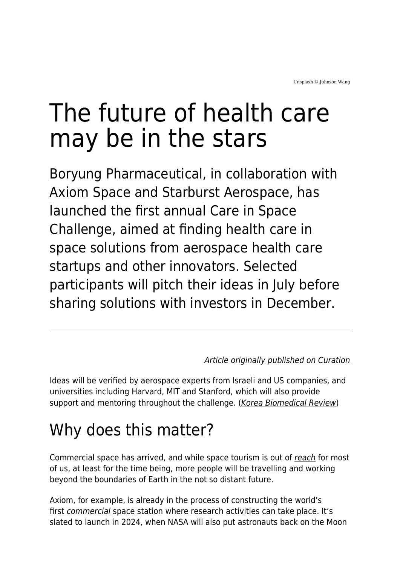# The future of health care may be in the stars

Boryung Pharmaceutical, in collaboration with Axiom Space and Starburst Aerospace, has launched the first annual Care in Space Challenge, aimed at finding health care in space solutions from aerospace health care startups and other innovators. Selected participants will pitch their ideas in July before sharing solutions with investors in December.

#### [Article originally published on Curation](https://curationcorp.com/blog/the-future-of-health-care-may-be-in-the-stars/)

Ideas will be verified by aerospace experts from Israeli and US companies, and universities including Harvard, MIT and Stanford, which will also provide support and mentoring throughout the challenge. ([Korea Biomedical Review](http://www.koreabiomed.com/news/articleView.html?idxno=13537))

#### Why does this matter?

Commercial space has arrived, and while space tourism is out of [reach](https://edition.cnn.com/2021/07/14/tech/affordable-space-flights/index.html) for most of us, at least for the time being, more people will be travelling and working beyond the boundaries of Earth in the not so distant future.

Axiom, for example, is already in the process of constructing the world's first [commercial](https://www.axiomspace.com/axiom-station) space station where research activities can take place. It's slated to launch in 2024, when NASA will also put astronauts back on the Moon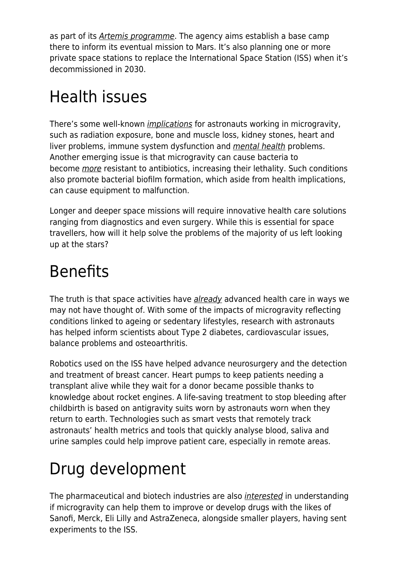as part of its *[Artemis programme](https://blogs.nasa.gov/artemis/2020/10/28/lunar-living-nasas-artemis-base-camp-concept/)*. The agency aims establish a base camp there to inform its eventual mission to Mars. It's also planning one or more private space stations to replace the International Space Station (ISS) when it's decommissioned in 2030.

### Health issues

There's some well-known [implications](https://edition.cnn.com/2020/11/25/health/biology-of-spaceflight-studies-wellness-scn-trnd/index.html) for astronauts working in microgravity, such as radiation exposure, bone and muscle loss, kidney stones, heart and liver problems, immune system dysfunction and [mental health](https://www.openaccessgovernment.org/mental-health-strategies/108926/) problems. Another emerging issue is that microgravity can cause bacteria to become *[more](https://theconversation.com/as-if-space-wasnt-dangerous-enough-bacteria-become-more-deadly-in-microgravity-141053)* resistant to antibiotics, increasing their lethality. Such conditions also promote bacterial biofilm formation, which aside from health implications, can cause equipment to malfunction.

Longer and deeper space missions will require innovative health care solutions ranging from diagnostics and even surgery. While this is essential for space travellers, how will it help solve the problems of the majority of us left looking up at the stars?

#### Benefits

The truth is that space activities have [already](https://www.asc-csa.gc.ca/eng/about/everyday-benefits-of-space-exploration/improving-health-care.asp) advanced health care in ways we may not have thought of. With some of the impacts of microgravity reflecting conditions linked to ageing or sedentary lifestyles, research with astronauts has helped inform scientists about Type 2 diabetes, cardiovascular issues, balance problems and osteoarthritis.

Robotics used on the ISS have helped advance neurosurgery and the detection and treatment of breast cancer. Heart pumps to keep patients needing a transplant alive while they wait for a donor became possible thanks to knowledge about rocket engines. A life-saving treatment to stop bleeding after childbirth is based on antigravity suits worn by astronauts worn when they return to earth. Technologies such as smart vests that remotely track astronauts' health metrics and tools that quickly analyse blood, saliva and urine samples could help improve patient care, especially in remote areas.

## Drug development

The pharmaceutical and biotech industries are also [interested](https://www.the-scientist.com/bio-business/pharma-looks-to-outer-space-to-boost-drug-rd--68183) in understanding if microgravity can help them to improve or develop drugs with the likes of Sanofi, Merck, Eli Lilly and AstraZeneca, alongside smaller players, having sent experiments to the ISS.